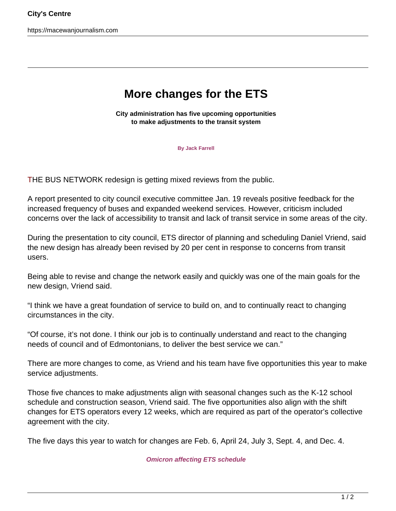https://macewanjournalism.com

## **More changes for the ETS**

**City administration has five upcoming opportunities to make adjustments to the transit system**

**By Jack Farrell**

THE BUS NETWORK redesign is getting mixed reviews from the public.

A report presented to city council executive committee Jan. 19 reveals positive feedback for the increased frequency of buses and expanded weekend services. However, criticism included concerns over the lack of accessibility to transit and lack of transit service in some areas of the city.

During the presentation to city council, ETS director of planning and scheduling Daniel Vriend, said the new design has already been revised by 20 per cent in response to concerns from transit users.

Being able to revise and change the network easily and quickly was one of the main goals for the new design, Vriend said.

"I think we have a great foundation of service to build on, and to continually react to changing circumstances in the city.

"Of course, it's not done. I think our job is to continually understand and react to the changing needs of council and of Edmontonians, to deliver the best service we can."

There are more changes to come, as Vriend and his team have five opportunities this year to make service adjustments.

Those five chances to make adjustments align with seasonal changes such as the K-12 school schedule and construction season, Vriend said. The five opportunities also align with the shift changes for ETS operators every 12 weeks, which are required as part of the operator's collective agreement with the city.

The five days this year to watch for changes are Feb. 6, April 24, July 3, Sept. 4, and Dec. 4.

**Omicron affecting ETS schedule**